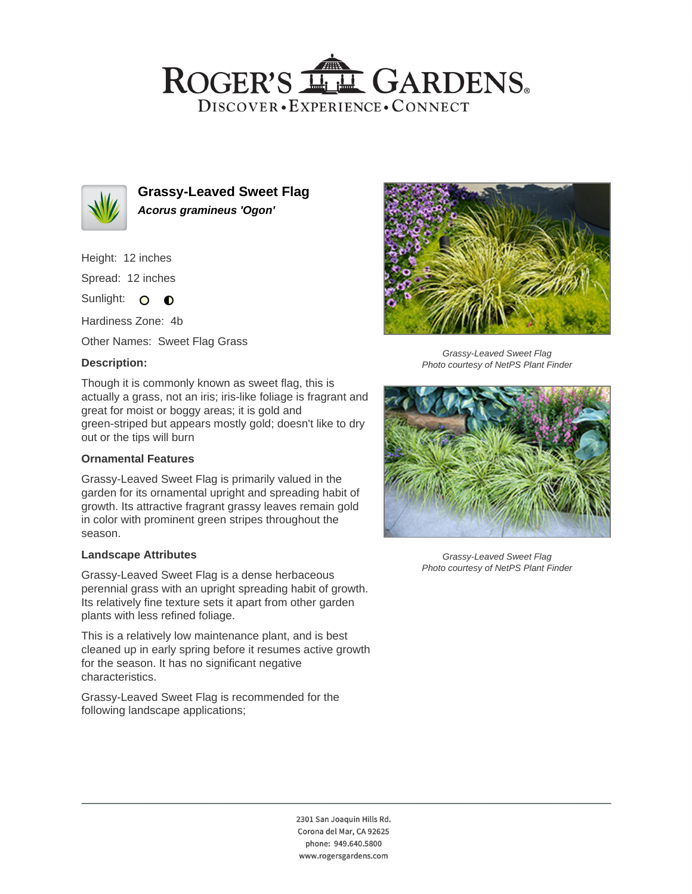## ROGER'S LL GARDENS. DISCOVER · EXPERIENCE · CONNECT



**Grassy-Leaved Sweet Flag Acorus gramineus 'Ogon'**

Height: 12 inches

Spread: 12 inches

Sunlight: O **O** 

Hardiness Zone: 4b

Other Names: Sweet Flag Grass

## **Description:**

Though it is commonly known as sweet flag, this is actually a grass, not an iris; iris-like foliage is fragrant and great for moist or boggy areas; it is gold and green-striped but appears mostly gold; doesn't like to dry out or the tips will burn

## **Ornamental Features**

Grassy-Leaved Sweet Flag is primarily valued in the garden for its ornamental upright and spreading habit of growth. Its attractive fragrant grassy leaves remain gold in color with prominent green stripes throughout the season.

#### **Landscape Attributes**

Grassy-Leaved Sweet Flag is a dense herbaceous perennial grass with an upright spreading habit of growth. Its relatively fine texture sets it apart from other garden plants with less refined foliage.

This is a relatively low maintenance plant, and is best cleaned up in early spring before it resumes active growth for the season. It has no significant negative characteristics.

Grassy-Leaved Sweet Flag is recommended for the following landscape applications;



Grassy-Leaved Sweet Flag Photo courtesy of NetPS Plant Finder



Grassy-Leaved Sweet Flag Photo courtesy of NetPS Plant Finder

2301 San Joaquin Hills Rd. Corona del Mar, CA 92625 phone: 949.640.5800 www.rogersgardens.com